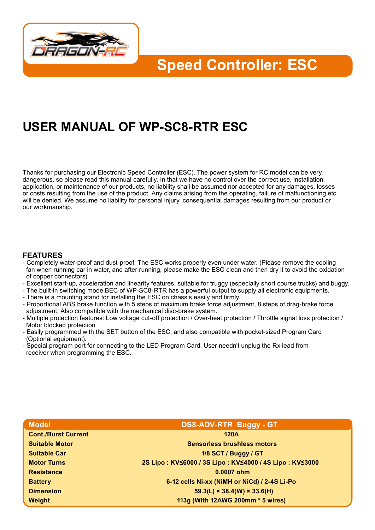

**Speed Controller: ESC**

# **USER MANUAL OF WP-SC8-RTR ESC**

Thanks for purchasing our Electronic Speed Controller (ESC). The power system for RC model can be very dangerous, so please read this manual carefully. In that we have no control over the correct use, installation, application, or maintenance of our products, no liability shall be assumed nor accepted for any damages, losses or costs resulting from the use of the product. Any claims arising from the operating, failure of malfunctioning etc. will be denied. We assume no liability for personal injury, consequential damages resulting from our product or our workmanship.

#### **FEATURES**

- Completely water-proof and dust-proof. The ESC works properly even under water. (Please remove the cooling fan when running car in water, and after running, please make the ESC clean and then dry it to avoid the oxidation of copper connectors)
- Excellent start-up, acceleration and linearity features, suitable for truggy (especially short course trucks) and buggy.
- The built-in switching mode BEC of WP-SC8-RTR has a powerful output to supply all electronic equipments.
- There is a mounting stand for installing the ESC on chassis easily and firmly.
- Proportional ABS brake function with 5 steps of maximum brake force adjustment, 8 steps of drag-brake force adjustment. Also compatible with the mechanical disc-brake system.
- Multiple protection features: Low voltage cut-off protection / Over-heat protection / Throttle signal loss protection / Motor blocked protection
- Easily programmed with the SET button of the ESC, and also compatible with pocket-sized Program Card (Optional equipment).
- Special program port for connecting to the LED Program Card. User needn't unplug the Rx lead from receiver when programming the ESC.

| <b>Model</b>               | <b>DS8-ADV-RTR Buggy - GT</b>                          |
|----------------------------|--------------------------------------------------------|
| <b>Cont./Burst Current</b> | <b>120A</b>                                            |
| <b>Suitable Motor</b>      | <b>Sensorless brushless motors</b>                     |
| <b>Suitable Car</b>        | 1/8 SCT / Buggy / GT                                   |
| <b>Motor Turns</b>         | 2S Lipo: KV≤6000 / 3S Lipo: KV≤4000 / 4S Lipo: KV≤3000 |
| <b>Resistance</b>          | 0.0007 ohm                                             |
| <b>Battery</b>             | 6-12 cells Ni-xx (NiMH or NiCd) / 2-4S Li-Po           |
| <b>Dimension</b>           | $59.3(L) \times 38.4(W) \times 33.6(H)$                |
| Weight                     | 113g (With 12AWG 200mm * 5 wires)                      |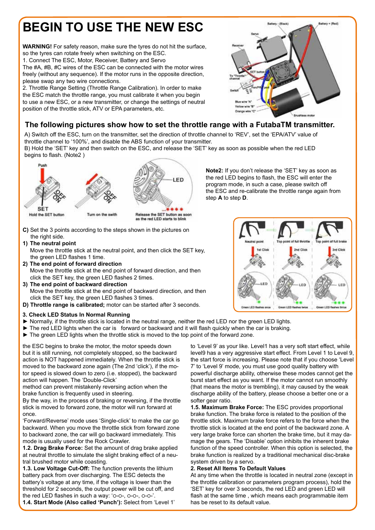# **BEGIN TO USE THE NEW ESC**

**WARNING!** For safety reason, make sure the tyres do not hit the surface, so the tyres can rotate freely when switching on the ESC. 1. Connect The ESC, Motor, Receiver, Battery and Servo The #A, #B, #C wires of the ESC can be connected with the motor wires

freely (without any sequence). If the motor runs in the opposite direction, please swap any two wire connections. 2. Throttle Range Setting (Throttle Range Calibration). In order to make

the ESC match the throttle range, you must calibrate it when you begin to use a new ESC, or a new transmitter, or change the settings of neutral position of the throttle stick, ATV or EPA parameters, etc.



### **The following pictures show how to set the throttle range with a FutabaTM transmitter.**

A) Switch off the ESC, turn on the transmitter, set the direction of throttle channel to 'REV', set the 'EPA/ATV' value of throttle channel to '100%', and disable the ABS function of your transmitter.

B) Hold the 'SET' key and then switch on the ESC, and release the 'SET' key as soon as possible when the red LED begins to flash. (Note2 )



- **C)** Set the 3 points according to the steps shown in the pictures on the right side.
- **1) The neutral point** Move the throttle stick at the neutral point, and then click the SET key, the green LED flashes 1 time.
- **2) The end point of forward direction** Move the throttle stick at the end point of forward direction, and then click the SET key, the green LED flashes 2 times.
- **3) The end point of backward direction** Move the throttle stick at the end point of backward direction, and then click the SET key, the green LED flashes 3 times.
- **D) Throttle range is calibrated;** motor can be started after 3 seconds.
- **3. Check LED Status In Normal Running**
- ► Normally, if the throttle stick is located in the neutral range, neither the red LED nor the green LED lights.
- ► The red LED lights when the car is forward or backward and it will flash quickly when the car is braking.
- ► The green LED lights when the throttle stick is moved to the top point of the forward zone.

the ESC begins to brake the motor, the motor speeds down but it is still running, not completely stopped, so the backward action is NOT happened immediately. When the throttle stick is moved to the backward zone again (The 2nd 'click'), if the motor speed is slowed down to zero (i.e. stopped), the backward action will happen. The 'Double-Click'

method can prevent mistakenly reversing action when the brake function is frequently used in steering.

By the way, in the process of braking or reversing, if the throttle stick is moved to forward zone, the motor will run forward at once.

'Forward/Reverse' mode uses 'Single-click' to make the car go backward. When you move the throttle stick from forward zone to backward zone, the car will go backward immediately. This mode is usually used for the Rock Crawler.

**1.2. Drag Brake Force:** Set the amount of drag brake applied at neutral throttle to simulate the slight braking effect of a neutral brushed motor while coasting.

**1.3. Low Voltage Cut-Off:** The function prevents the lithium battery pack from over discharging. The ESC detects the battery's voltage at any time, if the voltage is lower than the threshold for 2 seconds, the output power will be cut off, and the red LED flashes in such a way: 'o-o-, o-o-, o-o-'.

**1.4. Start Mode (Also called 'Punch'):** Select from 'Level 1'

**Note2:** If you don't release the 'SET' key as soon as the red LED begins to flash, the ESC will enter the program mode, in such a case, please switch off the ESC and re-calibrate the throttle range again from step **A** to step **D**.



to 'Level 9' as your like. Level1 has a very soft start effect, while level9 has a very aggressive start effect. From Level 1 to Level 9, the start force is increasing. Please note that if you choose 'Level 7' to 'Level 9' mode, you must use good quality battery with powerful discharge ability, otherwise these modes cannot get the burst start effect as you want. If the motor cannot run smoothly (that means the motor is trembling), it may caused by the weak discharge ability of the battery, please choose a better one or a softer gear ratio.

**1.5. Maximum Brake Force:** The ESC provides proportional brake function. The brake force is related to the position of the throttle stick. Maximum brake force refers to the force when the throttle stick is located at the end point of the backward zone. A very large brake force can shorten the brake time, but it may damage the gears. The 'Disable' option inhibits the inherent brake function of the speed controller. When this option is selected, the brake function is realized by a traditional mechanical disc-brake system driven by a servo.

#### **2. Reset All Items To Default Values**

At any time when the throttle is located in neutral zone (except in the throttle calibration or parameters program process), hold the 'SET' key for over 3 seconds, the red LED and green LED will flash at the same time , which means each programmable item has be reset to its default value.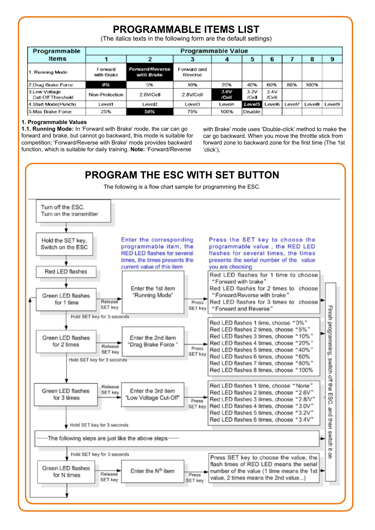## **PROGRAMMABLE ITEMS LIST**

(The italics texts in the following form are the default settings)

| Programmable                              |                       | <b>Programmable Value</b>            |                        |               |               |               |        |        |        |  |
|-------------------------------------------|-----------------------|--------------------------------------|------------------------|---------------|---------------|---------------|--------|--------|--------|--|
| <b>Items</b>                              |                       |                                      |                        |               | э             | 6             |        | 8      | 9      |  |
| 1. Running Mode                           | Forward<br>with Brake | <b>Forward/Reverse</b><br>with Brake | Forward and<br>Reverse |               |               |               |        |        |        |  |
| 2.Drag Brake Force                        | 0%                    | 5%                                   | 10%                    | 20%           | 40%           | 60%           | 80%    | 100%   |        |  |
| 3.Low Voltage<br><b>Cut-Off Threshold</b> | Non-Protection        | 2.6V/Cell                            | 2.8V/Cell              | 3.0V<br>/Cell | 3.2V<br>/Cell | 3.4V<br>/Cell |        |        |        |  |
| 4. Start Mode(Punch)                      | Level1                | Level2                               | Level3                 | Level4        | Level5        | evel6         | Level7 | Level8 | Level9 |  |
| 5.Max Brake Force                         | 25%                   | 50%                                  | 75%                    | 100%          | Disable       |               |        |        |        |  |

#### **1. Programmable Values**

**1.1. Running Mode:** In 'Forward with Brake' mode, the car can go forward and brake, but cannot go backward, this mode is suitable for competition; 'Forward/Reverse with Brake' mode provides backward function, which is suitable for daily training. **Note:** 'Forward/Reverse

with Brake' mode uses 'Double-click' method to make the car go backward. When you move the throttle stick from forward zone to backward zone for the first time (The 1st 'click'),